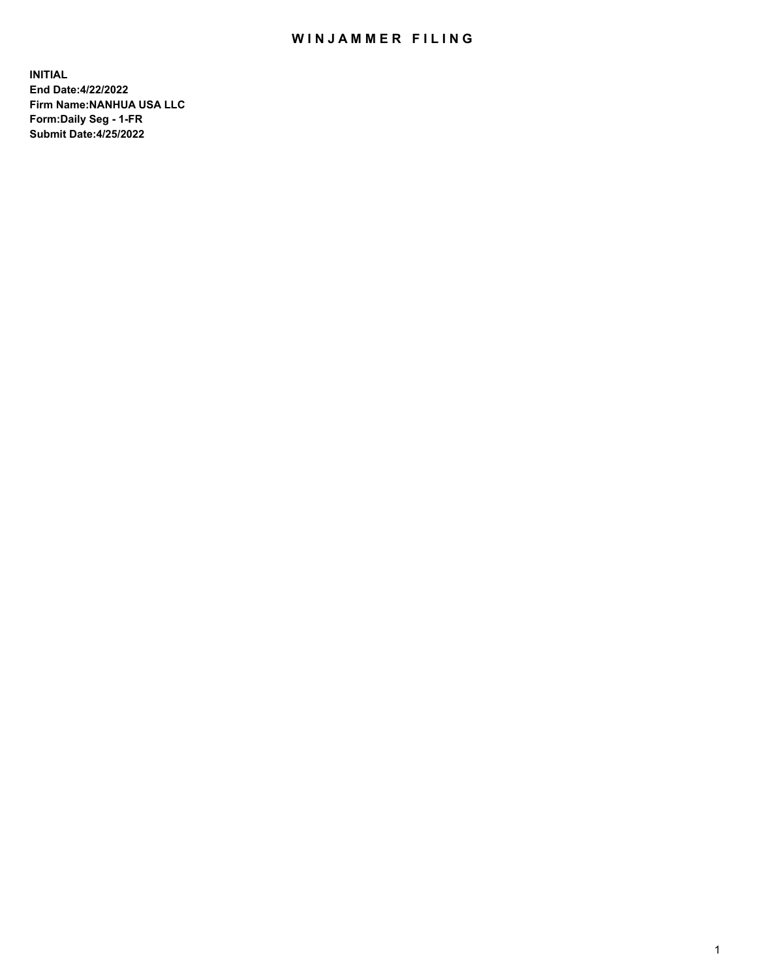## WIN JAMMER FILING

**INITIAL End Date:4/22/2022 Firm Name:NANHUA USA LLC Form:Daily Seg - 1-FR Submit Date:4/25/2022**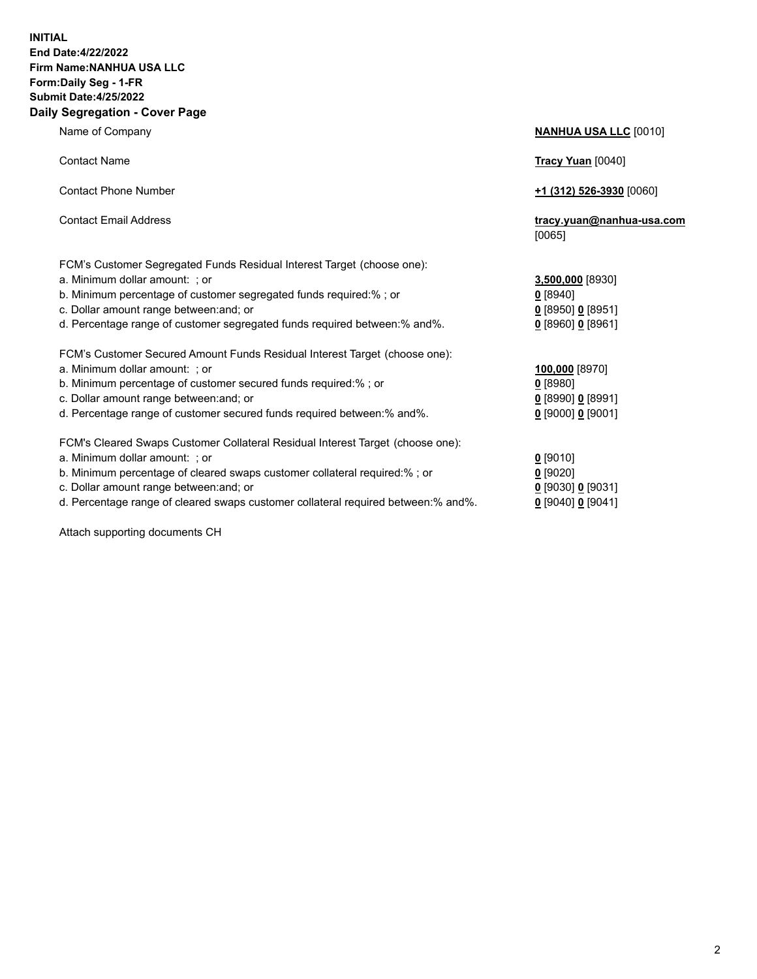## **INITIAL End Date:4/22/2022 Firm Name:NANHUA USA LLC Form:Daily Seg - 1-FR Submit Date:4/25/2022 Daily Segregation - Cover Page**

Name of Company **NANHUA USA LLC** [0010] Contact Name **Tracy Yuan** [0040] Contact Phone Number **+1 (312) 526-3930** [0060] Contact Email Address **tracy.yuan@nanhua-usa.com** [0065] FCM's Customer Segregated Funds Residual Interest Target (choose one): a. Minimum dollar amount: ; or **3,500,000** [8930] b. Minimum percentage of customer segregated funds required:% ; or **0** [8940] c. Dollar amount range between:and; or **0** [8950] **0** [8951] d. Percentage range of customer segregated funds required between:% and%. **0** [8960] **0** [8961] FCM's Customer Secured Amount Funds Residual Interest Target (choose one): a. Minimum dollar amount: ; or **100,000** [8970] b. Minimum percentage of customer secured funds required:% ; or **0** [8980] c. Dollar amount range between:and; or **0** [8990] **0** [8991] d. Percentage range of customer secured funds required between:% and%. **0** [9000] **0** [9001] FCM's Cleared Swaps Customer Collateral Residual Interest Target (choose one): a. Minimum dollar amount: ; or **0** [9010] b. Minimum percentage of cleared swaps customer collateral required:% ; or **0** [9020] c. Dollar amount range between:and; or **0** [9030] **0** [9031]

d. Percentage range of cleared swaps customer collateral required between:% and%. **0** [9040] **0** [9041]

Attach supporting documents CH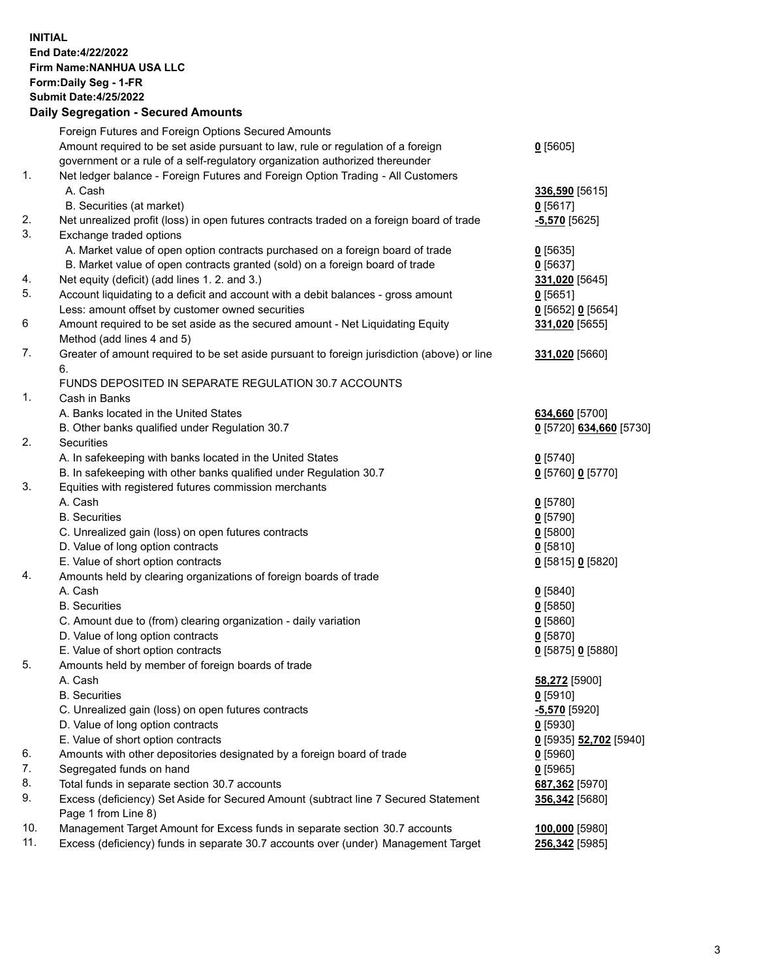**INITIAL End Date:4/22/2022 Firm Name:NANHUA USA LLC Form:Daily Seg - 1-FR Submit Date:4/25/2022**

## **Daily Segregation - Secured Amounts**

|     | Foreign Futures and Foreign Options Secured Amounts                                         |                         |
|-----|---------------------------------------------------------------------------------------------|-------------------------|
|     | Amount required to be set aside pursuant to law, rule or regulation of a foreign            | $0$ [5605]              |
|     | government or a rule of a self-regulatory organization authorized thereunder                |                         |
| 1.  | Net ledger balance - Foreign Futures and Foreign Option Trading - All Customers             |                         |
|     | A. Cash                                                                                     | 336,590 [5615]          |
|     | B. Securities (at market)                                                                   | 0[5617]                 |
| 2.  | Net unrealized profit (loss) in open futures contracts traded on a foreign board of trade   | $-5,570$ [5625]         |
| 3.  | Exchange traded options                                                                     |                         |
|     | A. Market value of open option contracts purchased on a foreign board of trade              | $0$ [5635]              |
|     | B. Market value of open contracts granted (sold) on a foreign board of trade                | $0$ [5637]              |
| 4.  | Net equity (deficit) (add lines 1. 2. and 3.)                                               | 331,020 [5645]          |
| 5.  | Account liquidating to a deficit and account with a debit balances - gross amount           | $0$ [5651]              |
|     | Less: amount offset by customer owned securities                                            | $0$ [5652] $0$ [5654]   |
| 6   | Amount required to be set aside as the secured amount - Net Liquidating Equity              | 331,020 [5655]          |
|     | Method (add lines 4 and 5)                                                                  |                         |
| 7.  | Greater of amount required to be set aside pursuant to foreign jurisdiction (above) or line | 331,020 [5660]          |
|     | 6.                                                                                          |                         |
|     | FUNDS DEPOSITED IN SEPARATE REGULATION 30.7 ACCOUNTS                                        |                         |
| 1.  | Cash in Banks                                                                               |                         |
|     | A. Banks located in the United States                                                       | 634,660 [5700]          |
|     | B. Other banks qualified under Regulation 30.7                                              | 0 [5720] 634,660 [5730] |
| 2.  | <b>Securities</b>                                                                           |                         |
|     | A. In safekeeping with banks located in the United States                                   | $0$ [5740]              |
|     | B. In safekeeping with other banks qualified under Regulation 30.7                          | 0 [5760] 0 [5770]       |
| 3.  | Equities with registered futures commission merchants                                       |                         |
|     | A. Cash                                                                                     | $0$ [5780]              |
|     | <b>B.</b> Securities                                                                        | $0$ [5790]              |
|     | C. Unrealized gain (loss) on open futures contracts                                         | $0$ [5800]              |
|     | D. Value of long option contracts                                                           | 0[5810]                 |
|     | E. Value of short option contracts                                                          | 0 [5815] 0 [5820]       |
| 4.  | Amounts held by clearing organizations of foreign boards of trade                           |                         |
|     | A. Cash                                                                                     | $0$ [5840]              |
|     | <b>B.</b> Securities                                                                        | $0$ [5850]              |
|     | C. Amount due to (from) clearing organization - daily variation                             | 0[5860]                 |
|     | D. Value of long option contracts                                                           | $0$ [5870]              |
|     | E. Value of short option contracts                                                          | 0 [5875] 0 [5880]       |
| 5.  | Amounts held by member of foreign boards of trade                                           |                         |
|     | A. Cash                                                                                     | 58,272 [5900]           |
|     | <b>B.</b> Securities                                                                        | $0$ [5910]              |
|     | C. Unrealized gain (loss) on open futures contracts                                         | -5,570 [5920]           |
|     | D. Value of long option contracts                                                           | $0$ [5930]              |
|     | E. Value of short option contracts                                                          | 0 [5935] 52,702 [5940]  |
| 6.  | Amounts with other depositories designated by a foreign board of trade                      | $0$ [5960]              |
| 7.  | Segregated funds on hand                                                                    | $0$ [5965]              |
| 8.  | Total funds in separate section 30.7 accounts                                               | 687,362 [5970]          |
| 9.  | Excess (deficiency) Set Aside for Secured Amount (subtract line 7 Secured Statement         | 356,342 [5680]          |
|     | Page 1 from Line 8)                                                                         |                         |
| 10. | Management Target Amount for Excess funds in separate section 30.7 accounts                 | 100,000 [5980]          |
| 11. | Excess (deficiency) funds in separate 30.7 accounts over (under) Management Target          | 256,342 [5985]          |
|     |                                                                                             |                         |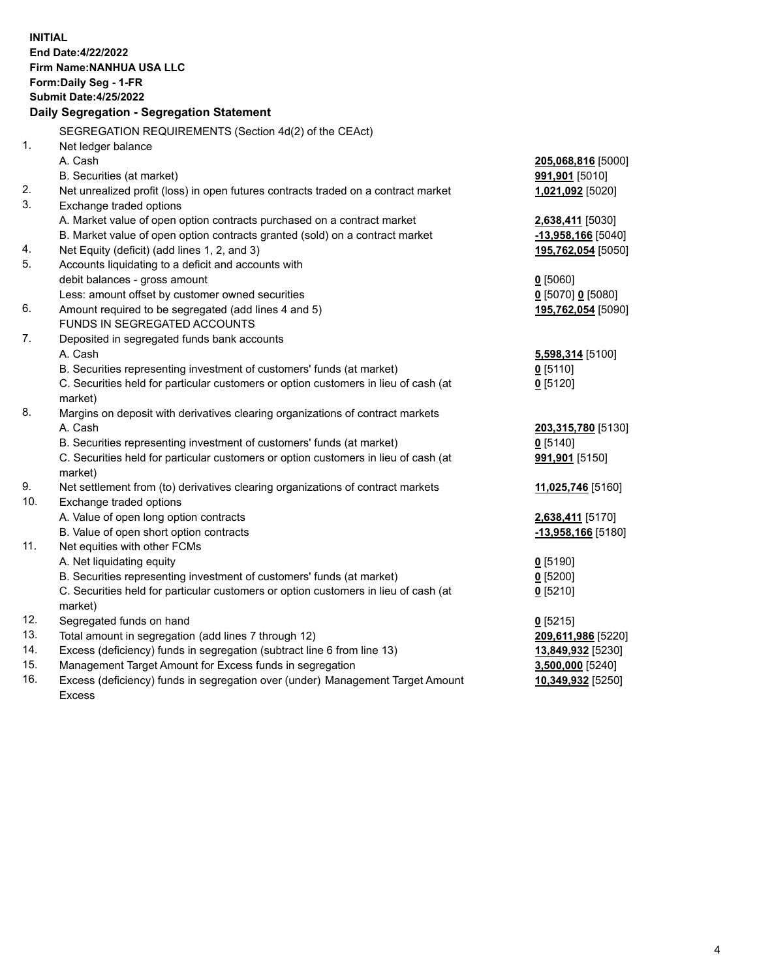| <b>INITIAL</b> | End Date: 4/22/2022<br><b>Firm Name: NANHUA USA LLC</b><br>Form: Daily Seg - 1-FR<br><b>Submit Date:4/25/2022</b><br>Daily Segregation - Segregation Statement |                              |
|----------------|----------------------------------------------------------------------------------------------------------------------------------------------------------------|------------------------------|
|                | SEGREGATION REQUIREMENTS (Section 4d(2) of the CEAct)                                                                                                          |                              |
| $\mathbf{1}$ . | Net ledger balance                                                                                                                                             |                              |
|                | A. Cash                                                                                                                                                        | 205,068,816 [5000]           |
|                | B. Securities (at market)                                                                                                                                      | <b>991,901</b> [5010]        |
| 2.             | Net unrealized profit (loss) in open futures contracts traded on a contract market                                                                             | 1,021,092 [5020]             |
| 3.             | Exchange traded options                                                                                                                                        |                              |
|                | A. Market value of open option contracts purchased on a contract market                                                                                        | 2,638,411 [5030]             |
|                | B. Market value of open option contracts granted (sold) on a contract market                                                                                   | $-13,958,166$ [5040]         |
| 4.             | Net Equity (deficit) (add lines 1, 2, and 3)                                                                                                                   | 195,762,054 [5050]           |
| 5.             | Accounts liquidating to a deficit and accounts with                                                                                                            |                              |
|                | debit balances - gross amount                                                                                                                                  | $0$ [5060]                   |
|                | Less: amount offset by customer owned securities                                                                                                               | $0$ [5070] 0 [5080]          |
| 6.             | Amount required to be segregated (add lines 4 and 5)                                                                                                           | 195,762,054 [5090]           |
|                | <b>FUNDS IN SEGREGATED ACCOUNTS</b>                                                                                                                            |                              |
| 7.             | Deposited in segregated funds bank accounts                                                                                                                    |                              |
|                | A. Cash                                                                                                                                                        | 5,598,314 [5100]             |
|                | B. Securities representing investment of customers' funds (at market)                                                                                          | $0$ [5110]                   |
|                | C. Securities held for particular customers or option customers in lieu of cash (at                                                                            | $0$ [5120]                   |
| 8.             | market)                                                                                                                                                        |                              |
|                | Margins on deposit with derivatives clearing organizations of contract markets<br>A. Cash                                                                      |                              |
|                |                                                                                                                                                                | 203,315,780 [5130]           |
|                | B. Securities representing investment of customers' funds (at market)<br>C. Securities held for particular customers or option customers in lieu of cash (at   | $0$ [5140]<br>991,901 [5150] |
|                | market)                                                                                                                                                        |                              |
| 9.             | Net settlement from (to) derivatives clearing organizations of contract markets                                                                                | 11,025,746 [5160]            |
| 10.            | Exchange traded options                                                                                                                                        |                              |
|                | A. Value of open long option contracts                                                                                                                         | 2,638,411 [5170]             |
|                | B. Value of open short option contracts                                                                                                                        | $-13,958,166$ [5180]         |
| 11.            | Net equities with other FCMs                                                                                                                                   |                              |
|                | A. Net liquidating equity                                                                                                                                      | $0$ [5190]                   |
|                | B. Securities representing investment of customers' funds (at market)                                                                                          | 0 [5200]                     |
|                | C. Securities held for particular customers or option customers in lieu of cash (at                                                                            | $0$ [5210]                   |
|                | market)                                                                                                                                                        |                              |
| 12.            | Segregated funds on hand                                                                                                                                       | $0$ [5215]                   |
| 13.            | Total amount in segregation (add lines 7 through 12)                                                                                                           | 209,611,986 [5220]           |
| 14.            | Excess (deficiency) funds in segregation (subtract line 6 from line 13)                                                                                        | 13,849,932 [5230]            |
| 15.            | Management Target Amount for Excess funds in segregation                                                                                                       | 3,500,000 [5240]             |
| 16.            | Excess (deficiency) funds in segregation over (under) Management Target Amount                                                                                 | 10,349,932 [5250]            |
|                | Excess                                                                                                                                                         |                              |